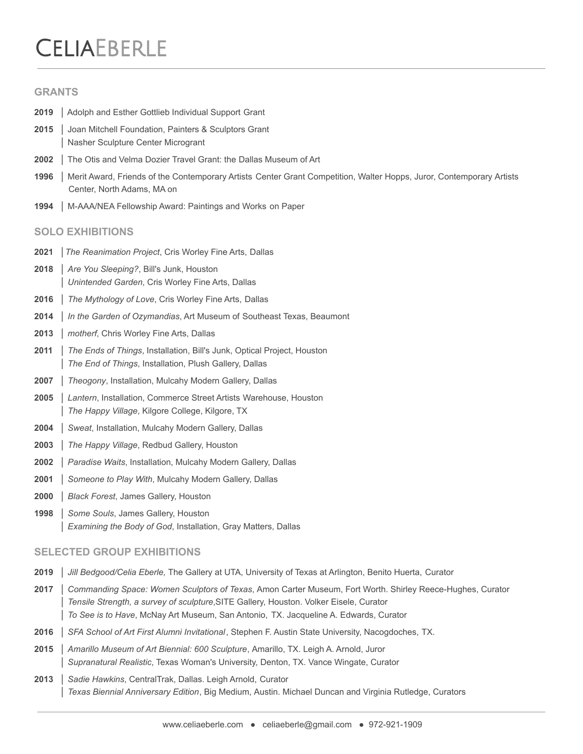# **CELIAEBERLE**

#### **GRANTS**

- │ Adolph and Esther Gottlieb Individual Support Grant
- │ Joan Mitchell Foundation, Painters & Sculptors Grant │ Nasher Sculpture Center Microgrant
- │ The Otis and Velma Dozier Travel Grant: the Dallas Museum of Art
- │ Merit Award, Friends of the Contemporary Artists Center Grant Competition, Walter Hopps, Juror, Contemporary Artists Center, North Adams, MA on
- │ M-AAA/NEA Fellowship Award: Paintings and Works on Paper

#### **SOLO EXHIBITIONS**

- │*The Reanimation Project*, Cris Worley Fine Arts, Dallas
- │ *Are You Sleeping?*, Bill's Junk, Houston │ *Unintended Garden*, Cris Worley Fine Arts, Dallas
- │ *The Mythology of Love*, Cris Worley Fine Arts, Dallas
- │ *In the Garden of Ozymandias*, Art Museum of Southeast Texas, Beaumont
- │ *motherf*, Chris Worley Fine Arts, Dallas
- │ *The Ends of Things*, Installation, Bill's Junk, Optical Project, Houston **The End of Things, Installation, Plush Gallery, Dallas**
- │ *Theogony*, Installation, Mulcahy Modern Gallery, Dallas
- │ *Lantern*, Installation, Commerce Street Artists Warehouse, Houston The Happy Village, Kilgore College, Kilgore, TX
- │ *Sweat*, Installation, Mulcahy Modern Gallery, Dallas
- │ *The Happy Village*, Redbud Gallery, Houston
- │ *Paradise Waits*, Installation, Mulcahy Modern Gallery, Dallas
- │ *Someone to Play With*, Mulcahy Modern Gallery, Dallas
- │ *Black Forest*, James Gallery, Houston
- │ *Some Souls*, James Gallery, Houston **Examining the Body of God, Installation, Gray Matters, Dallas**

## **SELECTED GROUP EXHIBITIONS**

- │ *Jill Bedgood/Celia Eberle,* The Gallery at UTA, University of Texas at Arlington, Benito Huerta, Curator
- │ *Commanding Space: Women Sculptors of Texas*, Amon Carter Museum, Fort Worth. Shirley Reece-Hughes, Curator │ *Tensile Strength, a survey of sculpture*,SITE Gallery, Houston. Volker Eisele, Curator │ *To See is to Have*, McNay Art Museum, San Antonio, TX. Jacqueline A. Edwards, Curator
- │ *SFA School of Art First Alumni Invitational*, Stephen F. Austin State University, Nacogdoches, TX.
- │ *Amarillo Museum of Art Biennial: 600 Sculpture*, Amarillo, TX. Leigh A. Arnold, Juror │ *Supranatural Realistic*, Texas Woman's University, Denton, TX. Vance Wingate, Curator
- │ *Sadie Hawkins*, CentralTrak, Dallas. Leigh Arnold, Curator │ *Texas Biennial Anniversary Edition*, Big Medium, Austin. Michael Duncan and Virginia Rutledge, Curators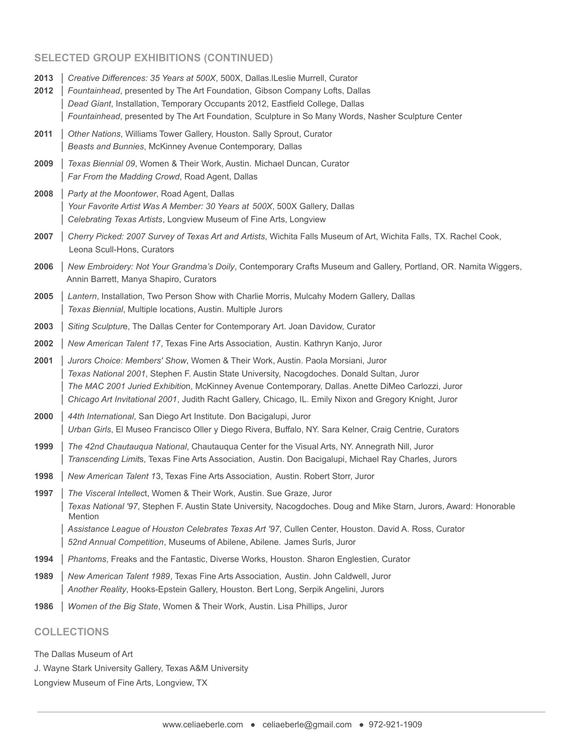## **SELECTED GROUP EXHIBITIONS (CONTINUED)**

- **2013** │ *Creative Differences: 35 Years at 500X*, 500X, Dallas.lLeslie Murrell, Curator
- **2012** │ *Fountainhead*, presented by The Art Foundation, Gibson Company Lofts, Dallas │ *Dead Giant*, Installation, Temporary Occupants 2012, Eastfield College, Dallas │ *Fountainhead*, presented by The Art Foundation, Sculpture in So Many Words, Nasher Sculpture Center
- **2011** │ *Other Nations*, Williams Tower Gallery, Houston. Sally Sprout, Curator │ *Beasts and Bunnies*, McKinney Avenue Contemporary, Dallas
- **2009** │ *Texas Biennial 09*, Women & Their Work, Austin. Michael Duncan, Curator Far From the Madding Crowd, Road Agent, Dallas
- **2008** │ *Party at the Moontower*, Road Agent, Dallas │ *Your Favorite Artist Was A Member: 30 Years at 500X*, 500X Gallery, Dallas │ *Celebrating Texas Artists*, Longview Museum of Fine Arts, Longview
- **2007** │ *Cherry Picked: 2007 Survey of Texas Art and Artists*, Wichita Falls Museum of Art, Wichita Falls, TX. Rachel Cook, Leona Scull-Hons, Curators
- **2006** │ *New Embroidery: Not Your Grandma's Doily*, Contemporary Crafts Museum and Gallery, Portland, OR. Namita Wiggers, Annin Barrett, Manya Shapiro, Curators
- **2005** │ *Lantern*, Installation, Two Person Show with Charlie Morris, Mulcahy Modern Gallery, Dallas │ *Texas Biennial*, Multiple locations, Austin. Multiple Jurors
- **2003** │ *Siting Sculptur*e, The Dallas Center for Contemporary Art. Joan Davidow, Curator
- **2002** │ *New American Talent 17*, Texas Fine Arts Association, Austin. Kathryn Kanjo, Juror
- **2001** │ *Jurors Choice: Members' Show*, Women & Their Work, Austin. Paola Morsiani, Juror │ *Texas National 2001*, Stephen F. Austin State University, Nacogdoches. Donald Sultan, Juror │ *The MAC 2001 Juried Exhibitio*n, McKinney Avenue Contemporary, Dallas. Anette DiMeo Carlozzi, Juror │ *Chicago Art Invitational 2001*, Judith Racht Gallery, Chicago, IL. Emily Nixon and Gregory Knight, Juror
- **2000** │ *44th International*, San Diego Art Institute. Don Bacigalupi, Juror │ *Urban Girls*, El Museo Francisco Oller y Diego Rivera, Buffalo, NY. Sara Kelner, Craig Centrie, Curators
- **1999** │ *The 42nd Chautauqua National*, Chautauqua Center for the Visual Arts, NY. Annegrath Nill, Juror │ *Transcending Limit*s, Texas Fine Arts Association, Austin. Don Bacigalupi, Michael Ray Charles, Jurors
- **1998** │ *New American Talent 1*3, Texas Fine Arts Association, Austin. Robert Storr, Juror
- **1997** │ *The Visceral Intellec*t, Women & Their Work, Austin. Sue Graze, Juror │ *Texas National '97*, Stephen F. Austin State University, Nacogdoches. Doug and Mike Starn, Jurors, Award: Honorable Mention │ *Assistance League of Houston Celebrates Texas Art '97*, Cullen Center, Houston. David A. Ross, Curator │ *52nd Annual Competition*, Museums of Abilene, Abilene. James Surls, Juror
- **1994** │ *Phantoms*, Freaks and the Fantastic, Diverse Works, Houston. Sharon Englestien, Curator
- **1989** │ *New American Talent 1989*, Texas Fine Arts Association, Austin. John Caldwell, Juror │ *Another Reality*, Hooks-Epstein Gallery, Houston. Bert Long, Serpik Angelini, Jurors
- **1986** │ *Women of the Big State*, Women & Their Work, Austin. Lisa Phillips, Juror

# **COLLECTIONS**

The Dallas Museum of Art

J. Wayne Stark University Gallery, Texas A&M University

Longview Museum of Fine Arts, Longview, TX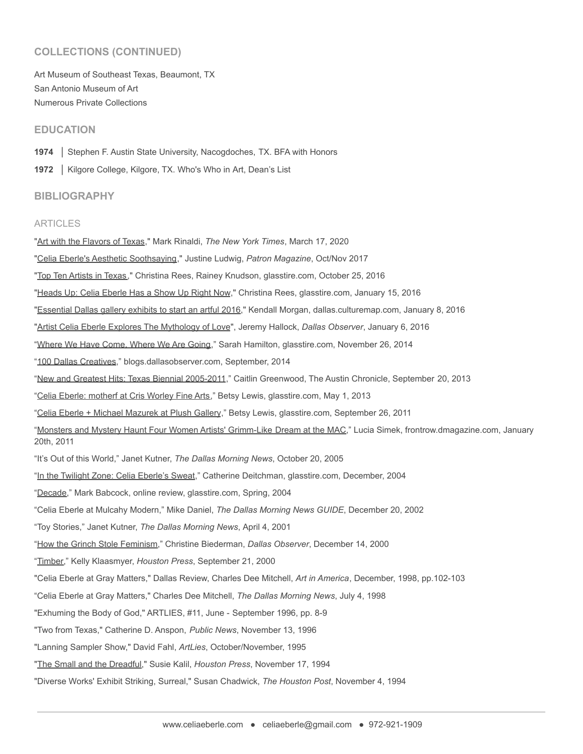## **COLLECTIONS (CONTINUED)**

Art Museum of Southeast Texas, Beaumont, TX San Antonio Museum of Art Numerous Private Collections

## **EDUCATION**

**1974** │ Stephen F. Austin State University, Nacogdoches, TX. BFA with Honors

1972 | Kilgore College, Kilgore, TX. Who's Who in Art, Dean's List

#### **BIBLIOGRAPHY**

#### ARTICLES

"Art with the Flavors of Texas," Mark Rinaldi, *The New York Times*, March 17, 2020 "Celia Eberle's Aesthetic Soothsaying," Justine Ludwig, *Patron Magazine*, Oct/Nov 2017 "Top Ten Artists in Texas," Christina Rees, Rainey Knudson, glasstire.com, October 25, 2016 "Heads Up: Celia Eberle Has a Show Up Right Now," Christina Rees, glasstire.com, January 15, 2016 "Essential Dallas gallery exhibits to start an artful 2016," Kendall Morgan, dallas.culturemap.com, January 8, 2016 "Artist Celia Eberle Explores The Mythology of Love", Jeremy Hallock, *Dallas Observer*, January 6, 2016 "Where We Have Come, Where We Are Going," Sarah Hamilton, glasstire.com, November 26, 2014 "100 Dallas Creatives," blogs.dallasobserver.com, September, 2014 "New and Greatest Hits: Texas Biennial 2005-2011," Caitlin Greenwood, The Austin Chronicle, September 20, 2013 "Celia Eberle: motherf at Cris Worley Fine Arts," Betsy Lewis, glasstire.com, May 1, 2013 "Celia Eberle + Michael Mazurek at Plush Gallery," Betsy Lewis, glasstire.com, September 26, 2011 "Monsters and Mystery Haunt Four Women Artists' Grimm-Like Dream at the MAC," Lucia Simek, frontrow.dmagazine.com, January 20th, 2011 "It's Out of this World," Janet Kutner, *The Dallas Morning News*, October 20, 2005 "In the Twilight Zone: Celia Eberle's Sweat," Catherine Deitchman, glasstire.com, December, 2004 "Decade," Mark Babcock, online review, glasstire.com, Spring, 2004 "Celia Eberle at Mulcahy Modern," Mike Daniel, *The Dallas Morning News GUIDE*, December 20, 2002 "Toy Stories," Janet Kutner, *The Dallas Morning News*, April 4, 2001 "How the Grinch Stole Feminism," Christine Biederman, *Dallas Observer*, December 14, 2000 "Timber," Kelly Klaasmyer, *Houston Press*, September 21, 2000 "Celia Eberle at Gray Matters," Dallas Review, Charles Dee Mitchell, *Art in America*, December, 1998, pp.102-103 "Celia Eberle at Gray Matters," Charles Dee Mitchell, *The Dallas Morning News*, July 4, 1998 "Exhuming the Body of God," ARTLIES, #11, June - September 1996, pp. 8-9 "Two from Texas," Catherine D. Anspon, *Public News*, November 13, 1996 "Lanning Sampler Show," David Fahl, *ArtLies*, October/November, 1995 "The Small and the Dreadful," Susie Kalil, *Houston Press*, November 17, 1994 "Diverse Works' Exhibit Striking, Surreal," Susan Chadwick, *The Houston Post*, November 4, 1994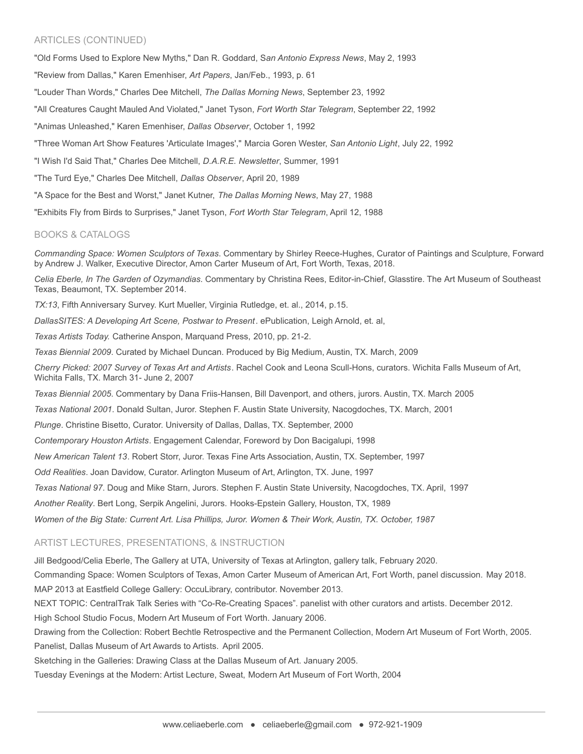## ARTICLES (CONTINUED)

"Old Forms Used to Explore New Myths," Dan R. Goddard, S*an Antonio Express News*, May 2, 1993 "Review from Dallas," Karen Emenhiser, *Art Papers*, Jan/Feb., 1993, p. 61 "Louder Than Words," Charles Dee Mitchell, *The Dallas Morning News*, September 23, 1992 "All Creatures Caught Mauled And Violated," Janet Tyson, *Fort Worth Star Telegram*, September 22, 1992 "Animas Unleashed," Karen Emenhiser, *Dallas Observer*, October 1, 1992 "Three Woman Art Show Features 'Articulate Images'," Marcia Goren Wester, *San Antonio Light*, July 22, 1992 "I Wish I'd Said That," Charles Dee Mitchell, *D.A.R.E. Newsletter*, Summer, 1991 "The Turd Eye," Charles Dee Mitchell, *Dallas Observer*, April 20, 1989 "A Space for the Best and Worst," Janet Kutner, *The Dallas Morning News*, May 27, 1988 "Exhibits Fly from Birds to Surprises," Janet Tyson, *Fort Worth Star Telegram*, April 12, 1988

#### BOOKS & CATALOGS

*Commanding Space: Women Sculptors of Texas*. Commentary by Shirley Reece-Hughes, Curator of Paintings and Sculpture, Forward by Andrew J. Walker, Executive Director, Amon Carter Museum of Art, Fort Worth, Texas, 2018.

*Celia Eberle, In The Garden of Ozymandias*. Commentary by Christina Rees, Editor-in-Chief, Glasstire. The Art Museum of Southeast Texas, Beaumont, TX. September 2014.

*TX:13*, Fifth Anniversary Survey. Kurt Mueller, Virginia Rutledge, et. al., 2014, p.15.

*DallasSITES: A Developing Art Scene, Postwar to Present*. ePublication, Leigh Arnold, et. al,

*Texas Artists Today.* Catherine Anspon, Marquand Press, 2010, pp. 21-2.

*Texas Biennial 2009*. Curated by Michael Duncan. Produced by Big Medium, Austin, TX. March, 2009

*Cherry Picked: 2007 Survey of Texas Art and Artists*. Rachel Cook and Leona Scull-Hons, curators. Wichita Falls Museum of Art, Wichita Falls, TX. March 31- June 2, 2007

*Texas Biennial 2005*. Commentary by Dana Friis-Hansen, Bill Davenport, and others, jurors. Austin, TX. March 2005

*Texas National 2001*. Donald Sultan, Juror. Stephen F. Austin State University, Nacogdoches, TX. March, 2001

*Plunge*. Christine Bisetto, Curator. University of Dallas, Dallas, TX. September, 2000

*Contemporary Houston Artists*. Engagement Calendar, Foreword by Don Bacigalupi, 1998

*New American Talent 13*. Robert Storr, Juror. Texas Fine Arts Association, Austin, TX. September, 1997

*Odd Realities*. Joan Davidow, Curator. Arlington Museum of Art, Arlington, TX. June, 1997

*Texas National 97*. Doug and Mike Starn, Jurors. Stephen F. Austin State University, Nacogdoches, TX. April, 1997

*Another Reality*. Bert Long, Serpik Angelini, Jurors. Hooks-Epstein Gallery, Houston, TX, 1989

*Women of the Big State: Current Art. Lisa Phillips, Juror. Women & Their Work, Austin, TX. October, 1987*

#### ARTIST LECTURES, PRESENTATIONS, & INSTRUCTION

Jill Bedgood/Celia Eberle, The Gallery at UTA, University of Texas at Arlington, gallery talk, February 2020.

Commanding Space: Women Sculptors of Texas, Amon Carter Museum of American Art, Fort Worth, panel discussion. May 2018. MAP 2013 at Eastfield College Gallery: OccuLibrary, contributor. November 2013.

NEXT TOPIC: CentralTrak Talk Series with "Co-Re-Creating Spaces". panelist with other curators and artists. December 2012.

High School Studio Focus, Modern Art Museum of Fort Worth. January 2006.

Drawing from the Collection: Robert Bechtle Retrospective and the Permanent Collection, Modern Art Museum of Fort Worth, 2005. Panelist, Dallas Museum of Art Awards to Artists. April 2005.

Sketching in the Galleries: Drawing Class at the Dallas Museum of Art. January 2005.

Tuesday Evenings at the Modern: Artist Lecture, Sweat, Modern Art Museum of Fort Worth, 2004